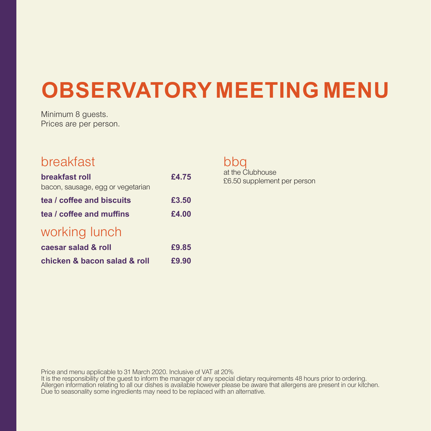# **OBSERVATORY MEETING MENU**

Minimum 8 guests. Prices are per person.

### breakfast

| breakfast roll                    | £4.75 |
|-----------------------------------|-------|
| bacon, sausage, egg or vegetarian |       |
| tea / coffee and biscuits         | £3.50 |
| tea / coffee and muffins          | £4.00 |
| working lunch                     |       |
| caesar salad & roll               | £9.85 |
| chicken & bacon salad & roll      | £9.90 |

### bbq

at the Clubhouse £6.50 supplement per person

Price and menu applicable to 31 March 2020. Inclusive of VAT at 20%

It is the responsibility of the guest to inform the manager of any special dietary requirements 48 hours prior to ordering. Allergen information relating to all our dishes is available however please be aware that allergens are present in our kitchen. Due to seasonality some ingredients may need to be replaced with an alternative.